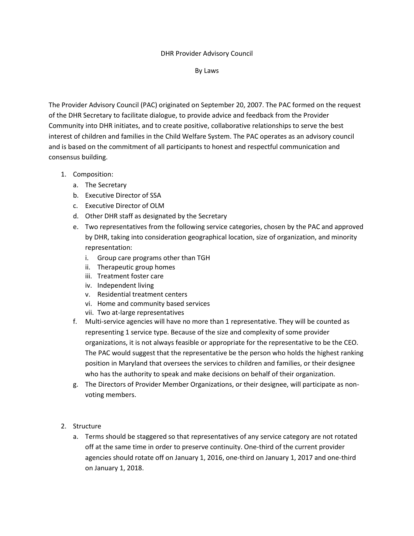## DHR Provider Advisory Council

By Laws

The Provider Advisory Council (PAC) originated on September 20, 2007. The PAC formed on the request of the DHR Secretary to facilitate dialogue, to provide advice and feedback from the Provider Community into DHR initiates, and to create positive, collaborative relationships to serve the best interest of children and families in the Child Welfare System. The PAC operates as an advisory council and is based on the commitment of all participants to honest and respectful communication and consensus building.

- 1. Composition:
	- a. The Secretary
	- b. Executive Director of SSA
	- c. Executive Director of OLM
	- d. Other DHR staff as designated by the Secretary
	- e. Two representatives from the following service categories, chosen by the PAC and approved by DHR, taking into consideration geographical location, size of organization, and minority representation:
		- i. Group care programs other than TGH
		- ii. Therapeutic group homes
		- iii. Treatment foster care
		- iv. Independent living
		- v. Residential treatment centers
		- vi. Home and community based services
		- vii. Two at-large representatives
	- f. Multi-service agencies will have no more than 1 representative. They will be counted as representing 1 service type. Because of the size and complexity of some provider organizations, it is not always feasible or appropriate for the representative to be the CEO. The PAC would suggest that the representative be the person who holds the highest ranking position in Maryland that oversees the services to children and families, or their designee who has the authority to speak and make decisions on behalf of their organization.
	- g. The Directors of Provider Member Organizations, or their designee, will participate as nonvoting members.
- 2. Structure
	- a. Terms should be staggered so that representatives of any service category are not rotated off at the same time in order to preserve continuity. One-third of the current provider agencies should rotate off on January 1, 2016, one-third on January 1, 2017 and one-third on January 1, 2018.